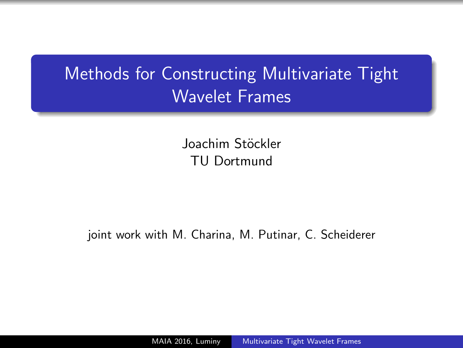# <span id="page-0-0"></span>Methods for Constructing Multivariate Tight Wavelet Frames

Joachim Stöckler TU Dortmund

joint work with M. Charina, M. Putinar, C. Scheiderer

MAIA 2016, Luminy [Multivariate Tight Wavelet Frames](#page-15-0)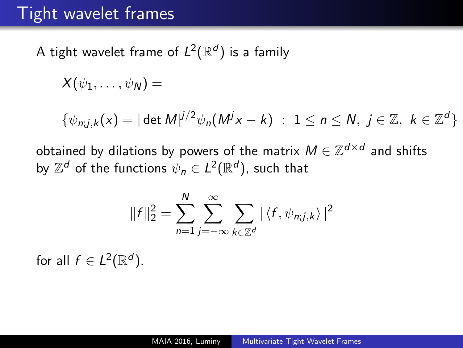A tight wavelet frame of  $L^2(\mathbb{R}^d)$  is a family

$$
X(\psi_1,\ldots,\psi_N)=
$$

$$
\{\psi_{n;j,k}(x)=|\det M|^{j/2}\psi_n(M^jx-k)\;:\;1\leq n\leq N,\;j\in\mathbb{Z},\;k\in\mathbb{Z}^d\}
$$

obtained by dilations by powers of the matrix  $M \in \mathbb{Z}^{d \times d}$  and shifts by  $\mathbb{Z}^d$  of the functions  $\psi_n \in L^2(\mathbb{R}^d)$ , such that

$$
||f||_2^2 = \sum_{n=1}^N \sum_{j=-\infty}^{\infty} \sum_{k \in \mathbb{Z}^d} |\langle f, \psi_{n;j,k} \rangle|^2
$$

for all  $f \in L^2(\mathbb{R}^d)$ .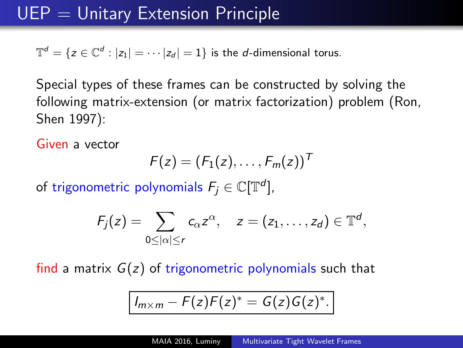$\mathbb{T}^d = \{z \in \mathbb{C}^d : |z_1| = \cdots |z_d| = 1\}$  is the *d*-dimensional torus.

Special types of these frames can be constructed by solving the following matrix-extension (or matrix factorization) problem (Ron, Shen 1997):

Given a vector

$$
F(z) = (F_1(z), \ldots, F_m(z))^T
$$

of trigonometric polynomials  $F_j\in \mathbb C[\mathbb T^d]$ ,

$$
F_j(z)=\sum_{0\leq |\alpha|\leq r}c_{\alpha}z^{\alpha},\quad z=(z_1,\ldots,z_d)\in\mathbb{T}^d,
$$

find a matrix  $G(z)$  of trigonometric polynomials such that

$$
I_{m\times m}-F(z)F(z)^*=G(z)G(z)^*.
$$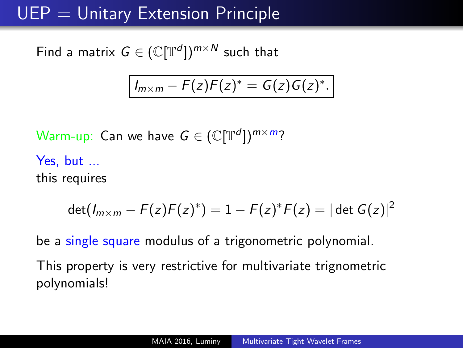# $UEP =$  Unitary Extension Principle

Find a matrix  $G \in (\mathbb{C}[\mathbb{T}^d])^{m \times N}$  such that

$$
I_{m\times m}-F(z)F(z)^*=G(z)G(z)^*.
$$

Warm-up: Can we have  $G \in (\mathbb{C}[\mathbb{T}^d])^{m \times m}$ ?

Yes, but ... this requires

$$
\det(I_{m \times m} - F(z)F(z)^*) = 1 - F(z)^*F(z) = |\det G(z)|^2
$$

be a single square modulus of a trigonometric polynomial.

This property is very restrictive for multivariate trignometric polynomials!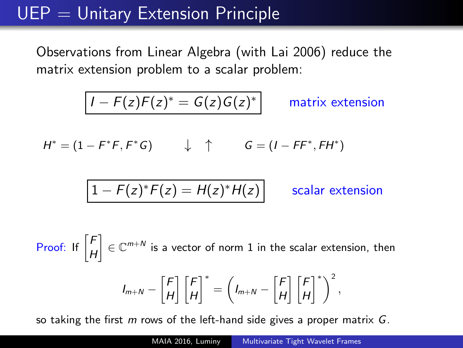# $UEP =$  Unitary Extension Principle

Observations from Linear Algebra (with Lai 2006) reduce the matrix extension problem to a scalar problem:

$$
I - F(z)F(z)^{*} = G(z)G(z)^{*}
$$
 matrix extension  

$$
H^{*} = (1 - F^{*}F, F^{*}G) \qquad \downarrow \qquad G = (I - FF^{*}, FH^{*})
$$

$$
1 - F(z)^{*}F(z) = H(z)^{*}H(z)
$$
scalar extension

Proof: If  $\left[\begin{smallmatrix}F\\[1mm]L\end{smallmatrix}\right]$ H  $\Big] \in \mathbb{C}^{m+N}$  is a vector of norm 1 in the scalar extension, then  $I_{m+N} - \left\lceil \frac{F}{L} \right\rceil$ H ] [*F* H  $\bigg|^{*} = \bigg( I_{m+N} - \bigg[ \frac{F}{L} \bigg]$ H ] [*F* H  $\left.\right.^{\circ}$ ,

so taking the first  $m$  rows of the left-hand side gives a proper matrix  $G$ .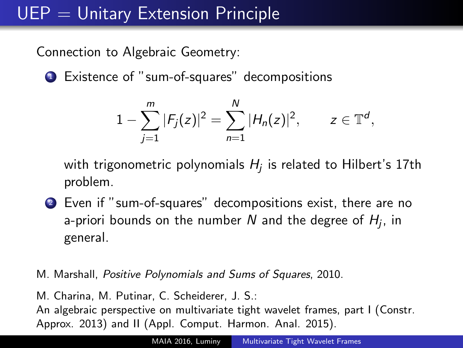# $UEP =$  Unitary Extension Principle

Connection to Algebraic Geometry:

<sup>1</sup> Existence of "sum-of-squares" decompositions

$$
1-\sum_{j=1}^m |F_j(z)|^2=\sum_{n=1}^N |H_n(z)|^2, \qquad z\in \mathbb{T}^d,
$$

with trigonometric polynomials  $H_j$  is related to Hilbert's 17th problem.

- <sup>2</sup> Even if "sum-of-squares" decompositions exist, there are no a-priori bounds on the number  $N$  and the degree of  $H_j$ , in general.
- M. Marshall, Positive Polynomials and Sums of Squares, 2010.

M. Charina, M. Putinar, C. Scheiderer, J. S.: An algebraic perspective on multivariate tight wavelet frames, part I (Constr. Approx. 2013) and II (Appl. Comput. Harmon. Anal. 2015).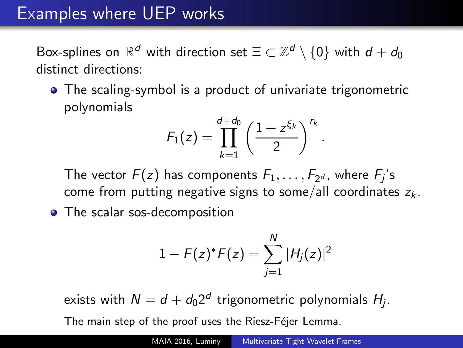### Examples where UEP works

Box-splines on  $\mathbb{R}^d$  with direction set  $\Xi \subset \mathbb{Z}^d \setminus \{0\}$  with  $d+d_0$ distinct directions:

The scaling-symbol is a product of univariate trigonometric polynomials

$$
F_1(z)=\prod_{k=1}^{d+d_0}\left(\frac{1+z^{\xi_k}}{2}\right)^{r_k}
$$

.

The vector  $F(z)$  has components  $F_1, \ldots, F_{2^d}$ , where  $F_j$ 's come from putting negative signs to some/all coordinates  $z_k$ .

• The scalar sos-decomposition

$$
1 - F(z)^{*}F(z) = \sum_{j=1}^{N} |H_j(z)|^2
$$

exists with  $N=d+d_02^d$  trigonometric polynomials  $H_j.$ The main step of the proof uses the Riesz-Féjer Lemma.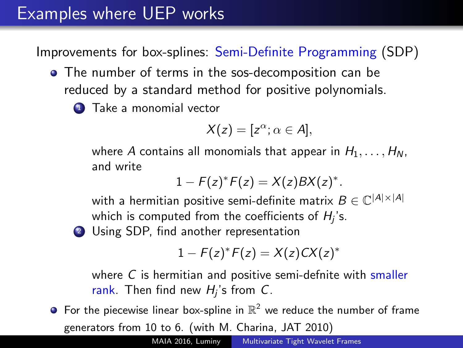### Examples where UEP works

Improvements for box-splines: Semi-Definite Programming (SDP)

- The number of terms in the sos-decomposition can be reduced by a standard method for positive polynomials.
	- **1** Take a monomial vector

$$
X(z)=[z^{\alpha}; \alpha \in A],
$$

where A contains all monomials that appear in  $H_1, \ldots, H_N$ , and write

$$
1 - F(z)^*F(z) = X(z)BX(z)^*.
$$

with a hermitian positive semi-definite matrix  $B\in\mathbb{C}^{|A|\times|A|}$ which is computed from the coefficients of  $H_j$ 's.

2 Using SDP, find another representation

$$
1 - F(z)^* F(z) = X(z) C X(z)^*
$$

where  $C$  is hermitian and positive semi-defnite with smaller rank. Then find new  $H_j$ 's from C.

For the piecewise linear box-spline in  $\mathbb{R}^2$  we reduce the number of frame generators from 10 to 6. (with M. Charina, JAT 2010)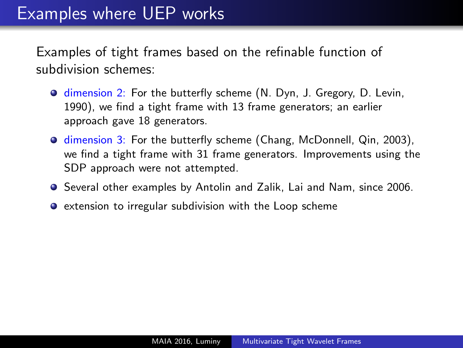Examples of tight frames based on the refinable function of subdivision schemes:

- **O** dimension 2: For the butterfly scheme (N. Dyn, J. Gregory, D. Levin, 1990), we find a tight frame with 13 frame generators; an earlier approach gave 18 generators.
- **O** dimension 3: For the butterfly scheme (Chang, McDonnell, Qin, 2003), we find a tight frame with 31 frame generators. Improvements using the SDP approach were not attempted.
- **Several other examples by Antolin and Zalik, Lai and Nam, since 2006.**
- **•** extension to irregular subdivision with the Loop scheme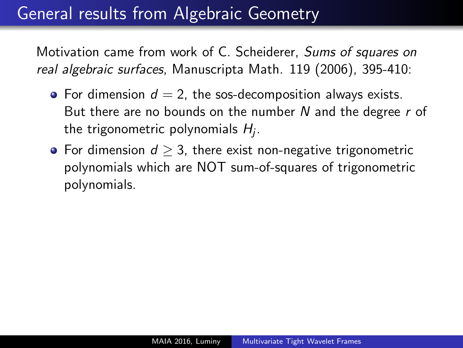### General results from Algebraic Geometry

Motivation came from work of C. Scheiderer, Sums of squares on real algebraic surfaces, Manuscripta Math. 119 (2006), 395-410:

- For dimension  $d = 2$ , the sos-decomposition always exists. But there are no bounds on the number  $N$  and the degree  $r$  of the trigonometric polynomials  $H_j.$
- For dimension  $d \geq 3$ , there exist non-negative trigonometric polynomials which are NOT sum-of-squares of trigonometric polynomials.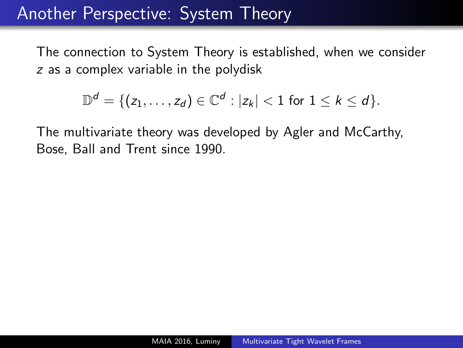### Another Perspective: System Theory

The connection to System Theory is established, when we consider z as a complex variable in the polydisk

$$
\mathbb{D}^d = \{(z_1,\ldots,z_d) \in \mathbb{C}^d : |z_k| < 1 \text{ for } 1 \leq k \leq d\}.
$$

The multivariate theory was developed by Agler and McCarthy, Bose, Ball and Trent since 1990.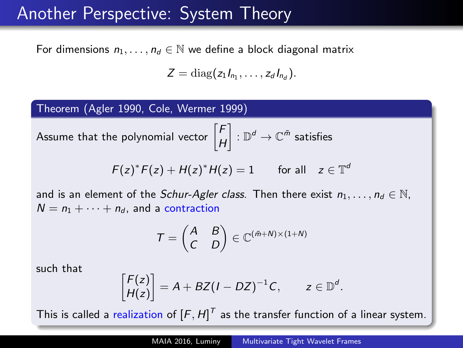#### Another Perspective: System Theory

For dimensions  $n_1, \ldots, n_d \in \mathbb{N}$  we define a block diagonal matrix

$$
Z=\mathrm{diag}(z_1I_{n_1},\ldots,z_dI_{n_d}).
$$

Theorem (Agler 1990, Cole, Wermer 1999)

Assume that the polynomial vector  $\begin{bmatrix} F & F \end{bmatrix}$ H  $\left\vert \;\;:\mathbb{D}^d\rightarrow\mathbb{C}^{\tilde{m}}\;\text{satisfies}\right\vert$ 

$$
F(z)^*F(z) + H(z)^*H(z) = 1 \quad \text{for all} \quad z \in \mathbb{T}^d
$$

and is an element of the Schur-Agler class. Then there exist  $n_1, \ldots, n_d \in \mathbb{N}$ ,  $N = n_1 + \cdots + n_d$ , and a contraction

$$
T = \begin{pmatrix} A & B \\ C & D \end{pmatrix} \in \mathbb{C}^{(\tilde{m}+N) \times (1+N)}
$$

such that

$$
\begin{bmatrix} F(z) \\ H(z) \end{bmatrix} = A + BZ(I - DZ)^{-1}C, \qquad z \in \mathbb{D}^d.
$$

This is called a realization of  $[F, H]^T$  as the transfer function of a linear system.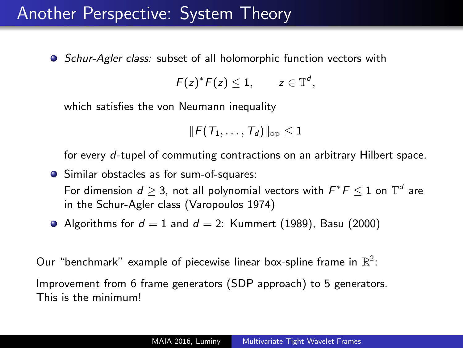#### Another Perspective: System Theory

• Schur-Agler class: subset of all holomorphic function vectors with

$$
F(z)^*F(z)\leq 1, \qquad z\in \mathbb{T}^d,
$$

which satisfies the von Neumann inequality

$$
\|F(\,T_1,\ldots,\,T_d)\|_{\rm op}\leq 1
$$

for every d-tupel of commuting contractions on an arbitrary Hilbert space.

- **•** Similar obstacles as for sum-of-squares: For dimension  $d\geq 3$ , not all polynomial vectors with  $F^*\digamma\leq 1$  on  $\mathbb{T}^d$  are in the Schur-Agler class (Varopoulos 1974)
- Algorithms for  $d = 1$  and  $d = 2$ : Kummert (1989), Basu (2000)

Our "benchmark" example of piecewise linear box-spline frame in  $\mathbb{R}^2$ : Improvement from 6 frame generators (SDP approach) to 5 generators. This is the minimum!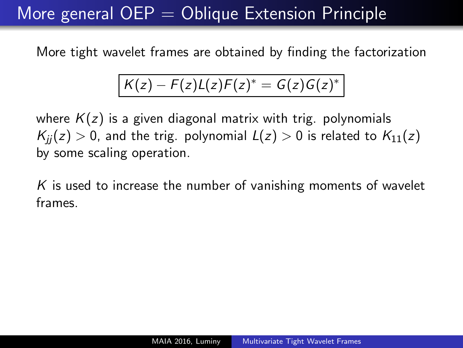### More general  $OEP = Oblique$  Extension Principle

More tight wavelet frames are obtained by finding the factorization

$$
K(z) - F(z)L(z)F(z)^* = G(z)G(z)^*
$$

where  $K(z)$  is a given diagonal matrix with trig. polynomials  $K_{ii}(z) > 0$ , and the trig. polynomial  $L(z) > 0$  is related to  $K_{11}(z)$ by some scaling operation.

 $K$  is used to increase the number of vanishing moments of wavelet frames.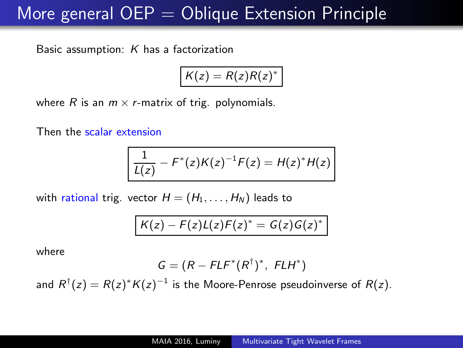### More general  $OEP = Oblique$  Extension Principle

Basic assumption:  $K$  has a factorization

$$
K(z)=R(z)R(z)^*
$$

where R is an  $m \times r$ -matrix of trig. polynomials.

Then the scalar extension

$$
\frac{1}{L(z)} - F^{*}(z)K(z)^{-1}F(z) = H(z)^{*}H(z)
$$

with rational trig. vector  $H = (H_1, \ldots, H_N)$  leads to

$$
K(z)-F(z)L(z)F(z)^*=G(z)G(z)^*
$$

where

$$
G=(R-FLF^*(R^{\dagger})^*,\ F LH^*)
$$

and  $R^{\dagger}(z) = R(z)^* K(z)^{-1}$  is the Moore-Penrose pseudoinverse of  $R(z)$ .